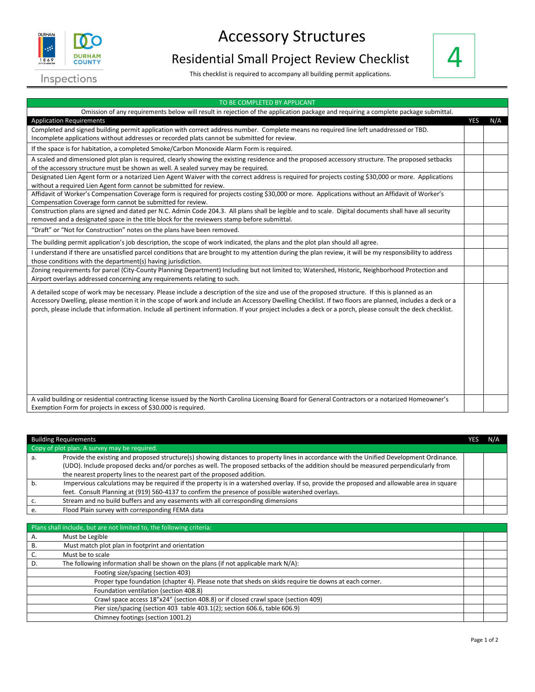

## Accessory Structures

## Residential Small Project Review Checklist

This checklist is required to accompany all building permit applications.



| TO BE COMPLETED BY APPLICANT                                                                                                                                                                                                                                                                                                                                                                                                                                            |            |     |  |  |  |
|-------------------------------------------------------------------------------------------------------------------------------------------------------------------------------------------------------------------------------------------------------------------------------------------------------------------------------------------------------------------------------------------------------------------------------------------------------------------------|------------|-----|--|--|--|
| Omission of any requirements below will result in rejection of the application package and requiring a complete package submittal.                                                                                                                                                                                                                                                                                                                                      |            |     |  |  |  |
| <b>Application Requirements</b>                                                                                                                                                                                                                                                                                                                                                                                                                                         | <b>YES</b> | N/A |  |  |  |
| Completed and signed building permit application with correct address number. Complete means no required line left unaddressed or TBD.                                                                                                                                                                                                                                                                                                                                  |            |     |  |  |  |
| Incomplete applications without addresses or recorded plats cannot be submitted for review.                                                                                                                                                                                                                                                                                                                                                                             |            |     |  |  |  |
| If the space is for habitation, a completed Smoke/Carbon Monoxide Alarm Form is required.                                                                                                                                                                                                                                                                                                                                                                               |            |     |  |  |  |
| A scaled and dimensioned plot plan is required, clearly showing the existing residence and the proposed accessory structure. The proposed setbacks                                                                                                                                                                                                                                                                                                                      |            |     |  |  |  |
| of the accessory structure must be shown as well. A sealed survey may be required.                                                                                                                                                                                                                                                                                                                                                                                      |            |     |  |  |  |
| Designated Lien Agent form or a notarized Lien Agent Waiver with the correct address is required for projects costing \$30,000 or more. Applications<br>without a required Lien Agent form cannot be submitted for review.                                                                                                                                                                                                                                              |            |     |  |  |  |
| Affidavit of Worker's Compensation Coverage form is required for projects costing \$30,000 or more. Applications without an Affidavit of Worker's<br>Compensation Coverage form cannot be submitted for review.                                                                                                                                                                                                                                                         |            |     |  |  |  |
| Construction plans are signed and dated per N.C. Admin Code 204.3. All plans shall be legible and to scale. Digital documents shall have all security                                                                                                                                                                                                                                                                                                                   |            |     |  |  |  |
| removed and a designated space in the title block for the reviewers stamp before submittal.                                                                                                                                                                                                                                                                                                                                                                             |            |     |  |  |  |
| "Draft" or "Not for Construction" notes on the plans have been removed.                                                                                                                                                                                                                                                                                                                                                                                                 |            |     |  |  |  |
| The building permit application's job description, the scope of work indicated, the plans and the plot plan should all agree.                                                                                                                                                                                                                                                                                                                                           |            |     |  |  |  |
| I understand if there are unsatisfied parcel conditions that are brought to my attention during the plan review, it will be my responsibility to address                                                                                                                                                                                                                                                                                                                |            |     |  |  |  |
| those conditions with the department(s) having jurisdiction.                                                                                                                                                                                                                                                                                                                                                                                                            |            |     |  |  |  |
| Zoning requirements for parcel (City-County Planning Department) Including but not limited to; Watershed, Historic, Neighborhood Protection and<br>Airport overlays addressed concerning any requirements relating to such.                                                                                                                                                                                                                                             |            |     |  |  |  |
| A detailed scope of work may be necessary. Please include a description of the size and use of the proposed structure. If this is planned as an<br>Accessory Dwelling, please mention it in the scope of work and include an Accessory Dwelling Checklist. If two floors are planned, includes a deck or a<br>porch, please include that information. Include all pertinent information. If your project includes a deck or a porch, please consult the deck checklist. |            |     |  |  |  |
| A valid building or residential contracting license issued by the North Carolina Licensing Board for General Contractors or a notarized Homeowner's                                                                                                                                                                                                                                                                                                                     |            |     |  |  |  |
| Exemption Form for projects in excess of \$30.000 is required.                                                                                                                                                                                                                                                                                                                                                                                                          |            |     |  |  |  |

|                                              | <b>Building Requirements</b>                                                                                                                | YES |  |
|----------------------------------------------|---------------------------------------------------------------------------------------------------------------------------------------------|-----|--|
| Copy of plot plan. A survey may be required. |                                                                                                                                             |     |  |
|                                              | Provide the existing and proposed structure(s) showing distances to property lines in accordance with the Unified Development Ordinance.    |     |  |
|                                              | (UDO). Include proposed decks and/or porches as well. The proposed setbacks of the addition should be measured perpendicularly from         |     |  |
|                                              | the nearest property lines to the nearest part of the proposed addition.                                                                    |     |  |
|                                              | Impervious calculations may be required if the property is in a watershed overlay. If so, provide the proposed and allowable area in square |     |  |
|                                              | feet. Consult Planning at (919) 560-4137 to confirm the presence of possible watershed overlays.                                            |     |  |
|                                              | Stream and no build buffers and any easements with all corresponding dimensions                                                             |     |  |
|                                              | Flood Plain survey with corresponding FEMA data                                                                                             |     |  |

|    | Plans shall include, but are not limited to, the following criteria:                                  |  |
|----|-------------------------------------------------------------------------------------------------------|--|
| Α. | Must be Legible                                                                                       |  |
| В. | Must match plot plan in footprint and orientation                                                     |  |
|    | Must be to scale                                                                                      |  |
|    | The following information shall be shown on the plans (if not applicable mark $N/A$ ):                |  |
|    | Footing size/spacing (section 403)                                                                    |  |
|    | Proper type foundation (chapter 4). Please note that sheds on skids require tie downs at each corner. |  |
|    | Foundation ventilation (section 408.8)                                                                |  |
|    | Crawl space access 18"x24" (section 408.8) or if closed crawl space (section 409)                     |  |
|    | Pier size/spacing (section 403 table 403.1(2); section 606.6, table 606.9)                            |  |
|    | Chimney footings (section 1001.2)                                                                     |  |